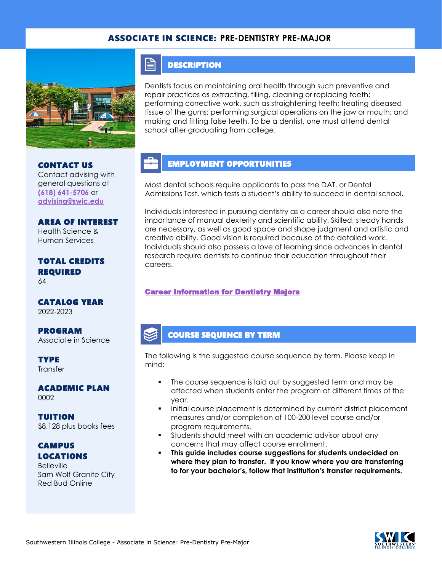#### ASSOCIATE IN SCIENCE: **PRE-DENTISTRY PRE-MAJOR**



CONTACT US

Contact advising with general questions at **[\(618\) 641-5706](tel:%20(618)%20641-5706)** or **[advising@swic.edu](mailto:advising@swic.edu)**

AREA OF INTEREST Health Science & Human Services

TOTAL CREDITS

CATALOG YEAR

Associate in Science

ACADEMIC PLAN

REQUIRED

2022-2023

**TYPE Transfer** 

0002

PROGRAM

64

F **DESCRIPTION** 

Dentists focus on maintaining oral health through such preventive and repair practices as extracting, filling, cleaning or replacing teeth; performing corrective work, such as straightening teeth; treating diseased tissue of the gums; performing surgical operations on the jaw or mouth; and making and fitting false teeth. To be a dentist, one must attend dental school after graduating from college.

#### EMPLOYMENT OPPORTUNITIES

Most dental schools require applicants to pass the DAT, or Dental Admissions Test, which tests a student's ability to succeed in dental school.

Individuals interested in pursuing dentistry as a career should also note the importance of manual dexterity and scientific ability. Skilled, steady hands are necessary, as well as good space and shape judgment and artistic and creative ability. Good vision is required because of the detailed work. Individuals should also possess a love of learning since advances in dental research require dentists to continue their education throughout their careers.

#### [Career Information for Dentistry Majors](https://www.onetonline.org/find/quick?s=dentistry)

#### COURSE SEQUENCE BY TERM

The following is the suggested course sequence by term. Please keep in mind:

- The course sequence is laid out by suggested term and may be affected when students enter the program at different times of the year.
- Initial course placement is determined by current district placement measures and/or completion of 100-200 level course and/or program requirements.
- Students should meet with an academic advisor about any concerns that may affect course enrollment.
- This guide includes course suggestions for students undecided on **where they plan to transfer. If you know where you are transferring to for your bachelor's, follow that institution's transfer requirements.**

# **CAMPUS** LOCATIONS

TUITION

**Belleville** Sam Wolf Granite City Red Bud Online

\$8,128 plus books fees